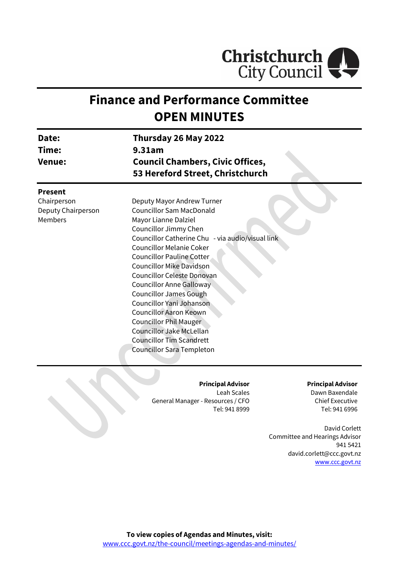

# **Finance and Performance Committee OPEN MINUTES**

| Date:<br>Time:<br><b>Venue:</b>                     | Thursday 26 May 2022<br>9.31am<br><b>Council Chambers, Civic Offices,</b><br>53 Hereford Street, Christchurch                                                                                                                                                                                                                                                                                                                                                                                                                                                     |
|-----------------------------------------------------|-------------------------------------------------------------------------------------------------------------------------------------------------------------------------------------------------------------------------------------------------------------------------------------------------------------------------------------------------------------------------------------------------------------------------------------------------------------------------------------------------------------------------------------------------------------------|
| <b>Present</b>                                      |                                                                                                                                                                                                                                                                                                                                                                                                                                                                                                                                                                   |
| Chairperson<br>Deputy Chairperson<br><b>Members</b> | Deputy Mayor Andrew Turner<br><b>Councillor Sam MacDonald</b><br>Mayor Lianne Dalziel<br>Councillor Jimmy Chen<br>Councillor Catherine Chu - via audio/visual link<br><b>Councillor Melanie Coker</b><br>Councillor Pauline Cotter<br><b>Councillor Mike Davidson</b><br>Councillor Celeste Donovan<br>Councillor Anne Galloway<br><b>Councillor James Gough</b><br>Councillor Yani Johanson<br><b>Councillor Aaron Keown</b><br><b>Councillor Phil Mauger</b><br>Councillor Jake McLellan<br><b>Councillor Tim Scandrett</b><br><b>Councillor Sara Templeton</b> |

#### **Principal Advisor**

Leah Scales General Manager - Resources / CFO Tel: 941 8999

#### **Principal Advisor**

Dawn Baxendale Chief Executive Tel: 941 6996

David Corlett Committee and Hearings Advisor 941 5421 david.corlett@ccc.govt.nz [www.ccc.govt.nz](http://www.ccc.govt.nz/)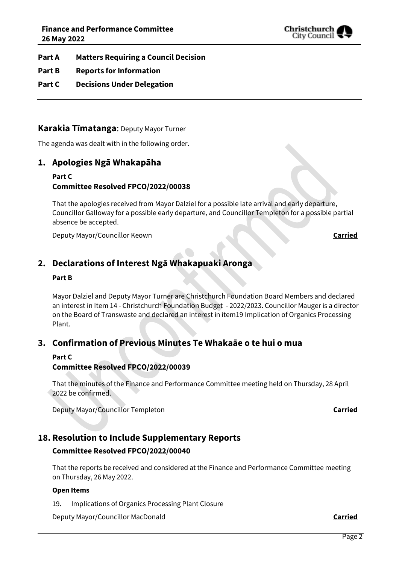

- **Part A Matters Requiring a Council Decision**
- **Part B Reports for Information**
- **Part C Decisions Under Delegation**

### **Karakia Tīmatanga**: Deputy Mayor Turner

The agenda was dealt with in the following order.

### **1. Apologies Ngā Whakapāha**

#### **Part C Committee Resolved FPCO/2022/00038**

That the apologies received from Mayor Dalziel for a possible late arrival and early departure, Councillor Galloway for a possible early departure, and Councillor Templeton for a possible partial absence be accepted.

**Deputy Mayor/Councillor Keown <b>Carried** 

# **2. Declarations of Interest Ngā Whakapuaki Aronga**

#### **Part B**

Mayor Dalziel and Deputy Mayor Turner are Christchurch Foundation Board Members and declared an interest in Item 14 - Christchurch Foundation Budget - 2022/2023. Councillor Mauger is a director on the Board of Transwaste and declared an interest in item19 Implication of Organics Processing Plant.

# **3. Confirmation of Previous Minutes Te Whakaāe o te hui o mua**

#### **Part C**

### **Committee Resolved FPCO/2022/00039**

That the minutes of the Finance and Performance Committee meeting held on Thursday, 28 April 2022 be confirmed.

Deputy Mayor/Councillor Templeton **Carried**

# **18. Resolution to Include Supplementary Reports**

#### **Committee Resolved FPCO/2022/00040**

That the reports be received and considered at the Finance and Performance Committee meeting on Thursday, 26 May 2022.

#### **Open Items**

19. Implications of Organics Processing Plant Closure

Deputy Mayor/Councillor MacDonald **Carried**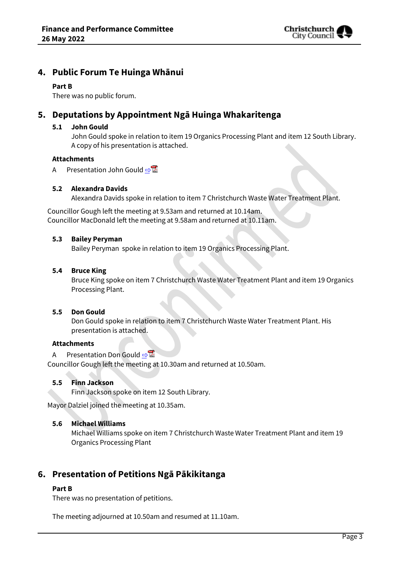

# **4. Public Forum Te Huinga Whānui**

#### **Part B**

There was no public forum.

# **5. Deputations by Appointment Ngā Huinga Whakaritenga**

#### **5.1 John Gould**

John Gould spoke in relation to item 19 Organics Processing Plant and item 12 South Library. A copy of his presentation is attached.

#### **Attachments**

A Presentation John Gould [⇨](../../../RedirectToInvalidFileName.aspx?FileName=FPCO_20220526_MAT_7513.PDF#PAGE=3)

### **5.2 Alexandra Davids**

Alexandra Davids spoke in relation to item 7 Christchurch Waste Water Treatment Plant.

Councillor Gough left the meeting at 9.53am and returned at 10.14am. Councillor MacDonald left the meeting at 9.58am and returned at 10.11am.

#### **5.3 Bailey Peryman**

Bailey Peryman spoke in relation to item 19 Organics Processing Plant.

#### **5.4 Bruce King**

Bruce King spoke on item 7 Christchurch Waste Water Treatment Plant and item 19 Organics Processing Plant.

### **5.5 Don Gould**

Don Gould spoke in relation to item 7 Christchurch Waste Water Treatment Plant. His presentation is attached.

#### **Attachments**

A Presentation Don Gould  $\n <sup>2</sup>$ 

Councillor Gough left the meeting at 10.30am and returned at 10.50am.

#### **5.5 Finn Jackson**

Finn Jackson spoke on item 12 South Library.

Mayor Dalziel joined the meeting at 10.35am.

#### **5.6 Michael Williams**

Michael Williams spoke on item 7 Christchurch Waste Water Treatment Plant and item 19 Organics Processing Plant

# **6. Presentation of Petitions Ngā Pākikitanga**

#### **Part B**

There was no presentation of petitions.

The meeting adjourned at 10.50am and resumed at 11.10am.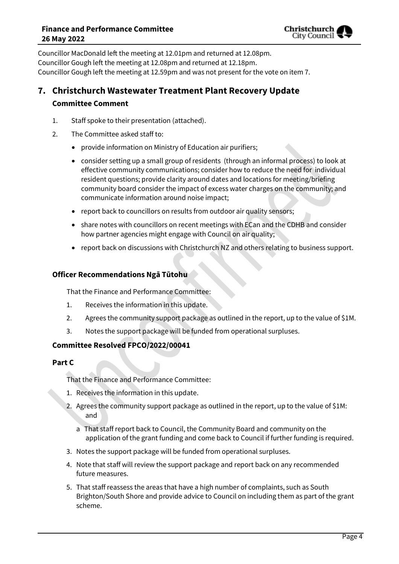

Councillor MacDonald left the meeting at 12.01pm and returned at 12.08pm. Councillor Gough left the meeting at 12.08pm and returned at 12.18pm. Councillor Gough left the meeting at 12.59pm and was not present for the vote on item 7.

# **7. Christchurch Wastewater Treatment Plant Recovery Update Committee Comment**

- 1. Staff spoke to their presentation (attached).
- 2. The Committee asked staff to:
	- provide information on Ministry of Education air purifiers;
	- consider setting up a small group of residents (through an informal process) to look at effective community communications; consider how to reduce the need for individual resident questions; provide clarity around dates and locations for meeting/briefing community board consider the impact of excess water charges on the community; and communicate information around noise impact;
	- report back to councillors on results from outdoor air quality sensors;
	- share notes with councillors on recent meetings with ECan and the CDHB and consider how partner agencies might engage with Council on air quality;
	- report back on discussions with Christchurch NZ and others relating to business support.

#### **Officer Recommendations Ngā Tūtohu**

That the Finance and Performance Committee:

- 1. Receives the information in this update.
- 2. Agrees the community support package as outlined in the report, up to the value of \$1M.
- 3. Notes the support package will be funded from operational surpluses.

#### **Committee Resolved FPCO/2022/00041**

#### **Part C**

That the Finance and Performance Committee:

- 1. Receives the information in this update.
- 2. Agrees the community support package as outlined in the report, up to the value of \$1M: and
	- a That staff report back to Council, the Community Board and community on the application of the grant funding and come back to Council if further funding is required.
- 3. Notes the support package will be funded from operational surpluses.
- 4. Note that staff will review the support package and report back on any recommended future measures.
- 5. That staff reassess the areas that have a high number of complaints, such as South Brighton/South Shore and provide advice to Council on including them as part of the grant scheme.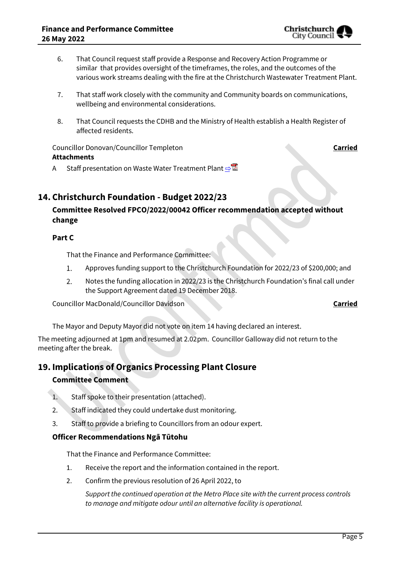- 6. That Council request staff provide a Response and Recovery Action Programme or similar that provides oversight of the timeframes, the roles, and the outcomes of the various work streams dealing with the fire at the Christchurch Wastewater Treatment Plant.
- 7. That staff work closely with the community and Community boards on communications, wellbeing and environmental considerations.
- 8. That Council requests the CDHB and the Ministry of Health establish a Health Register of affected residents.

Councillor Donovan/Councillor Templeton **Carried Attachments**

A Staff presentation on Waste Water Treatment Plant **[⇨](../../../RedirectToInvalidFileName.aspx?FileName=FPCO_20220526_MAT_7513.PDF#PAGE=18)</u>置** 

## **14. Christchurch Foundation - Budget 2022/23**

### **Committee Resolved FPCO/2022/00042 Officer recommendation accepted without change**

#### **Part C**

That the Finance and Performance Committee:

- $1.$ Approves funding support to the Christchurch Foundation for 2022/23 of \$200,000; and
- 2. Notes the funding allocation in 2022/23 is the Christchurch Foundation's final call under the Support Agreement dated 19 December 2018.

Councillor MacDonald/Councillor Davidson **Carried**

The Mayor and Deputy Mayor did not vote on item 14 having declared an interest.

The meeting adjourned at 1pm and resumed at 2.02pm. Councillor Galloway did not return to the meeting after the break.

#### **19. Implications of Organics Processing Plant Closure**

#### **Committee Comment**

- 1. Staff spoke to their presentation (attached).
- 2. Staff indicated they could undertake dust monitoring.
- 3. Staff to provide a briefing to Councillors from an odour expert.

#### **Officer Recommendations Ngā Tūtohu**

That the Finance and Performance Committee:

- 1. Receive the report and the information contained in the report.
- 2. Confirm the previous resolution of 26 April 2022, to

*Support the continued operation at the Metro Place site with the current process controls to manage and mitigate odour until an alternative facility is operational.*

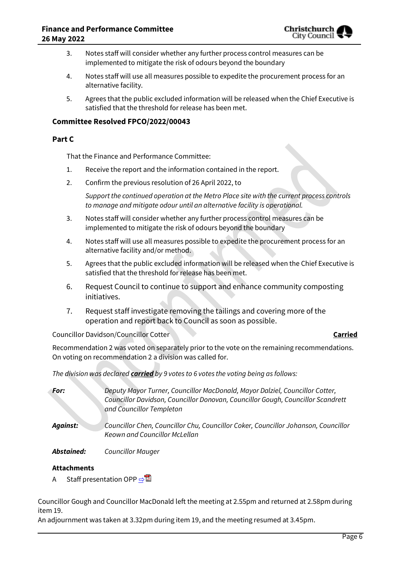

- 3. Notes staff will consider whether any further process control measures can be implemented to mitigate the risk of odours beyond the boundary
- 4. Notes staff will use all measures possible to expedite the procurement process for an alternative facility.
- 5. Agrees that the public excluded information will be released when the Chief Executive is satisfied that the threshold for release has been met.

#### **Committee Resolved FPCO/2022/00043**

#### **Part C**

That the Finance and Performance Committee:

- 1. Receive the report and the information contained in the report.
- 2. Confirm the previous resolution of 26 April 2022, to

*Support the continued operation at the Metro Place site with the current process controls to manage and mitigate odour until an alternative facility is operational.*

- 3. Notes staff will consider whether any further process control measures can be implemented to mitigate the risk of odours beyond the boundary
- 4. Notes staff will use all measures possible to expedite the procurement process for an alternative facility and/or method.
- 5. Agrees that the public excluded information will be released when the Chief Executive is satisfied that the threshold for release has been met.
- 6. Request Council to continue to support and enhance community composting initiatives.
- 7. Request staff investigate removing the tailings and covering more of the operation and report back to Council as soon as possible.

Councillor Davidson/Councillor Cotter **Carried**

Recommendation 2 was voted on separately prior to the vote on the remaining recommendations. On voting on recommendation 2 a division was called for.

*The division was declared carried by 9 votes to 6 votes the voting being as follows:*

| For:       | Deputy Mayor Turner, Councillor MacDonald, Mayor Dalziel, Councillor Cotter,<br>Councillor Davidson, Councillor Donovan, Councillor Gough, Councillor Scandrett<br>and Councillor Templeton |
|------------|---------------------------------------------------------------------------------------------------------------------------------------------------------------------------------------------|
| Against:   | Councillor Chen, Councillor Chu, Councillor Coker, Councillor Johanson, Councillor<br>Keown and Councillor McLellan                                                                         |
| Abstained: | <b>Councillor Mauger</b>                                                                                                                                                                    |

#### **Attachments**

A Staff presentation OPP ⇒

Councillor Gough and Councillor MacDonald left the meeting at 2.55pm and returned at 2.58pm during item 19.

An adjournment was taken at 3.32pm during item 19, and the meeting resumed at 3.45pm.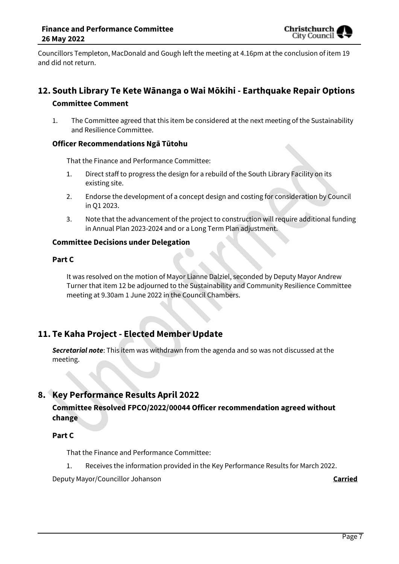Councillors Templeton, MacDonald and Gough left the meeting at 4.16pm at the conclusion of item 19 and did not return.

# **12. South Library Te Kete Wānanga o Wai Mōkihi - Earthquake Repair Options Committee Comment**

1. The Committee agreed that this item be considered at the next meeting of the Sustainability and Resilience Committee.

#### **Officer Recommendations Ngā Tūtohu**

That the Finance and Performance Committee:

- 1. Direct staff to progress the design for a rebuild of the South Library Facility on its existing site.
- 2. Endorse the development of a concept design and costing for consideration by Council in Q1 2023.
- 3. Note that the advancement of the project to construction will require additional funding in Annual Plan 2023-2024 and or a Long Term Plan adjustment.

#### **Committee Decisions under Delegation**

#### **Part C**

It was resolved on the motion of Mayor Lianne Dalziel, seconded by Deputy Mayor Andrew Turner that item 12 be adjourned to the Sustainability and Community Resilience Committee meeting at 9.30am 1 June 2022 in the Council Chambers.

# **11. Te Kaha Project - Elected Member Update**

*Secretarial note*: This item was withdrawn from the agenda and so was not discussed at the meeting.

# **8. Key Performance Results April 2022**

#### **Committee Resolved FPCO/2022/00044 Officer recommendation agreed without change**

#### **Part C**

That the Finance and Performance Committee:

Receives the information provided in the Key Performance Results for March 2022. 1.

Deputy Mayor/Councillor Johanson **Carried**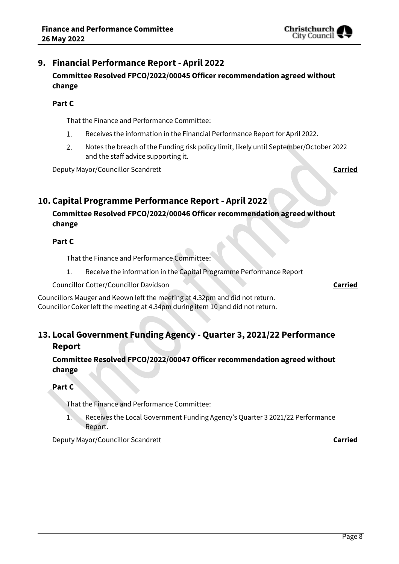# **9. Financial Performance Report - April 2022 Committee Resolved FPCO/2022/00045 Officer recommendation agreed without change**

#### **Part C**

That the Finance and Performance Committee:

- $1.$ Receives the information in the Financial Performance Report for April 2022.
- Notes the breach of the Funding risk policy limit, likely until September/October 2022  $2.$ and the staff advice supporting it.

**Deputy Mayor/Councillor Scandrett Carried** Carried Carried

# **10. Capital Programme Performance Report - April 2022**

# **Committee Resolved FPCO/2022/00046 Officer recommendation agreed without change**

#### **Part C**

That the Finance and Performance Committee:

1. Receive the information in the Capital Programme Performance Report

Councillor Cotter/Councillor Davidson **Carried**

Councillors Mauger and Keown left the meeting at 4.32pm and did not return. Councillor Coker left the meeting at 4.34pm during item 10 and did not return.

# **13. Local Government Funding Agency - Quarter 3, 2021/22 Performance Report**

### **Committee Resolved FPCO/2022/00047 Officer recommendation agreed without change**

#### **Part C**

That the Finance and Performance Committee:

1. Receives the Local Government Funding Agency's Quarter 3 2021/22 Performance Report.

Deputy Mayor/Councillor Scandrett **Carried**